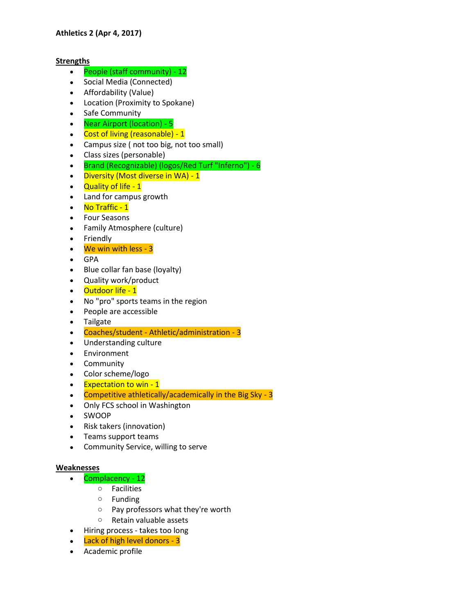## **Strengths**

- People (staff community) 12
- Social Media (Connected)
- Affordability (Value)
- Location (Proximity to Spokane)
- Safe Community
- Near Airport (location) 5
- Cost of living (reasonable) 1
- Campus size ( not too big, not too small)
- Class sizes (personable)
- Brand (Recognizable) (logos/Red Turf "Inferno") 6
- Diversity (Most diverse in WA) 1
- Quality of life 1
- Land for campus growth
- No Traffic 1
- Four Seasons
- Family Atmosphere (culture)
- Friendly
- We win with less 3
- GPA
- Blue collar fan base (loyalty)
- Quality work/product
- Outdoor life 1
- No "pro" sports teams in the region
- People are accessible
- Tailgate
- Coaches/student Athletic/administration 3
- Understanding culture
- Environment
- Community
- Color scheme/logo
- Expectation to win 1
- Competitive athletically/academically in the Big Sky 3
- Only FCS school in Washington
- SWOOP
- Risk takers (innovation)
- Teams support teams
- Community Service, willing to serve

## **Weaknesses**

- Complacency 12
	- o Facilities
	- o Funding
	- o Pay professors what they're worth
	- o Retain valuable assets
- Hiring process takes too long
- Lack of high level donors 3
- Academic profile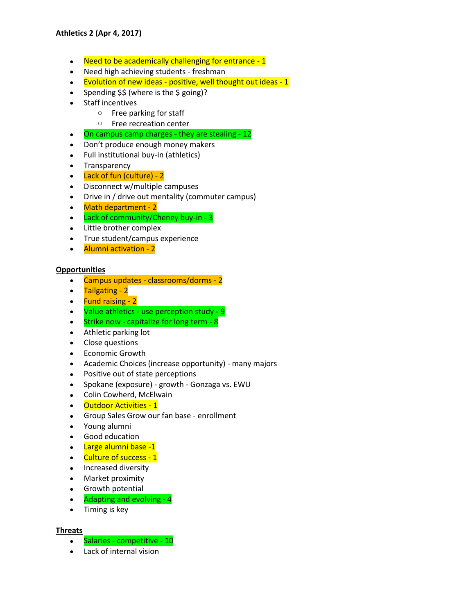- Need to be academically challenging for entrance 1
- Need high achieving students freshman
- $\bullet$  Evolution of new ideas positive, well thought out ideas 1
- Spending  $$$ \$ (where is the \$ going)?
- Staff incentives
	- o Free parking for staff
	- o Free recreation center
- On campus camp charges they are stealing 12
- Don't produce enough money makers
- Full institutional buy-in (athletics)
- Transparency
- Lack of fun (culture) 2
- Disconnect w/multiple campuses
- Drive in / drive out mentality (commuter campus)
- Math department 2
- Lack of community/Cheney buy-in 3
- Little brother complex
- True student/campus experience
- Alumni activation 2

## **Opportunities**

- Campus updates classrooms/dorms 2
- Tailgating 2
- Fund raising 2
- Value athletics use perception study 9
- $\bullet$  Strike now capitalize for long term 8
- Athletic parking lot
- Close questions
- Economic Growth
- Academic Choices (increase opportunity) many majors
- Positive out of state perceptions
- Spokane (exposure) growth Gonzaga vs. EWU
- Colin Cowherd, McElwain
- Outdoor Activities 1
- Group Sales Grow our fan base enrollment
- Young alumni
- Good education
- Large alumni base -1
- Culture of success 1
- Increased diversity
- Market proximity
- **•** Growth potential
- Adapting and evolving 4
- Timing is key

## **Threats**

- Salaries competitive 10
- Lack of internal vision